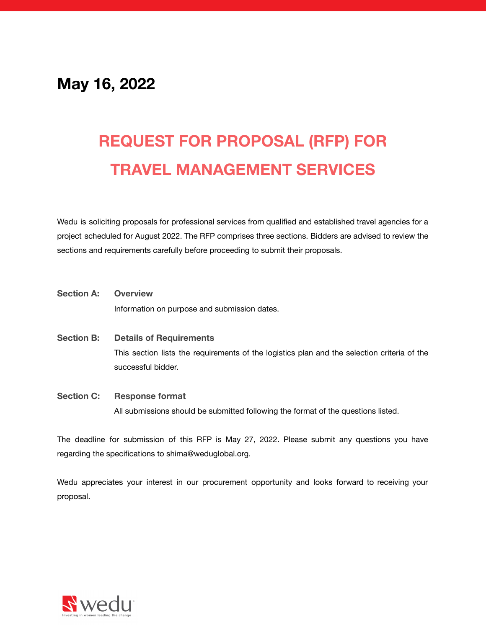# **May 16, 2022**

# **REQUEST FOR PROPOSAL (RFP) FOR TRAVEL MANAGEMENT SERVICES**

Wedu is soliciting proposals for professional services from qualified and established travel agencies for a project scheduled for August 2022. The RFP comprises three sections. Bidders are advised to review the sections and requirements carefully before proceeding to submit their proposals.

- **Section A: [Overview](#page-1-0)** Information on purpose and submission dates.
- **Section B: Details of [Requirements](#page-2-0)** This section lists the requirements of the logistics plan and the selection criteria of the successful bidder.
- **Section C: [Response](#page-4-0) format** All submissions should be submitted following the format of the questions listed.

The deadline for submission of this RFP is May 27, 2022. Please submit any questions you have regarding the specifications to shima@weduglobal.org.

Wedu appreciates your interest in our procurement opportunity and looks forward to receiving your proposal.

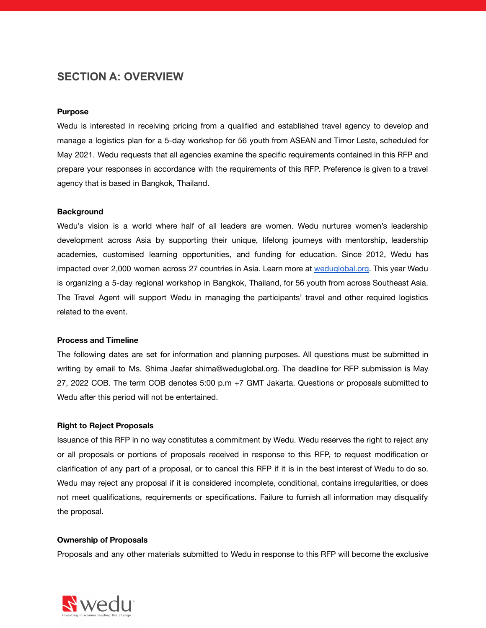### <span id="page-1-0"></span>**SECTION A: OVERVIEW**

#### **Purpose**

Wedu is interested in receiving pricing from a qualified and established travel agency to develop and manage a logistics plan for a 5-day workshop for 56 youth from ASEAN and Timor Leste, scheduled for May 2021. Wedu requests that all agencies examine the specific requirements contained in this RFP and prepare your responses in accordance with the requirements of this RFP. Preference is given to a travel agency that is based in Bangkok, Thailand.

#### **Background**

Wedu's vision is a world where half of all leaders are women. Wedu nurtures women's leadership development across Asia by supporting their unique, lifelong journeys with mentorship, leadership academies, customised learning opportunities, and funding for education. Since 2012, Wedu has impacted over 2,000 women across 27 countries in Asia. Learn more at [weduglobal.org](https://www.weduglobal.org/). This year Wedu is organizing a 5-day regional workshop in Bangkok, Thailand, for 56 youth from across Southeast Asia. The Travel Agent will support Wedu in managing the participants' travel and other required logistics related to the event.

#### **Process and Timeline**

The following dates are set for information and planning purposes. All questions must be submitted in writing by email to Ms. Shima Jaafar shima@weduglobal.org. The deadline for RFP submission is May 27, 2022 COB. The term COB denotes 5:00 p.m +7 GMT Jakarta. Questions or proposals submitted to Wedu after this period will not be entertained.

#### **Right to Reject Proposals**

Issuance of this RFP in no way constitutes a commitment by Wedu. Wedu reserves the right to reject any or all proposals or portions of proposals received in response to this RFP, to request modification or clarification of any part of a proposal, or to cancel this RFP if it is in the best interest of Wedu to do so. Wedu may reject any proposal if it is considered incomplete, conditional, contains irregularities, or does not meet qualifications, requirements or specifications. Failure to furnish all information may disqualify the proposal.

#### **Ownership of Proposals**

Proposals and any other materials submitted to Wedu in response to this RFP will become the exclusive

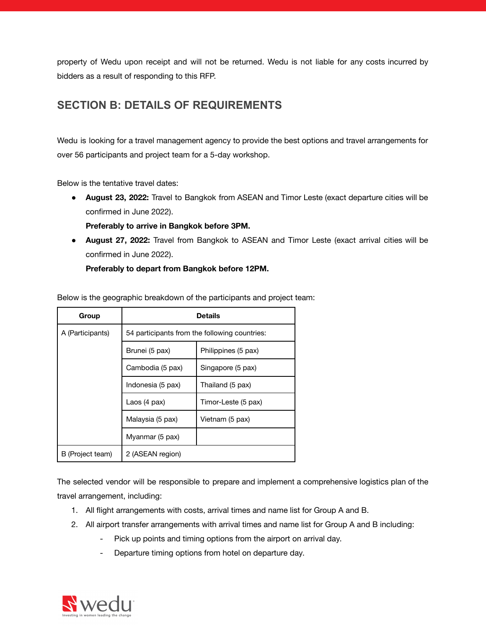property of Wedu upon receipt and will not be returned. Wedu is not liable for any costs incurred by bidders as a result of responding to this RFP.

# <span id="page-2-0"></span>**SECTION B: DETAILS OF REQUIREMENTS**

Wedu is looking for a travel management agency to provide the best options and travel arrangements for over 56 participants and project team for a 5-day workshop.

Below is the tentative travel dates:

- **● August 23, 2022:** Travel to Bangkok from ASEAN and Timor Leste (exact departure cities will be confirmed in June 2022).
	- **Preferably to arrive in Bangkok before 3PM.**
- **● August 27, 2022:** Travel from Bangkok to ASEAN and Timor Leste (exact arrival cities will be confirmed in June 2022).

**Preferably to depart from Bangkok before 12PM.**

| Group            | Details                                       |                     |
|------------------|-----------------------------------------------|---------------------|
| A (Participants) | 54 participants from the following countries: |                     |
|                  | Brunei (5 pax)                                | Philippines (5 pax) |
|                  | Cambodia (5 pax)                              | Singapore (5 pax)   |
|                  | Indonesia (5 pax)                             | Thailand (5 pax)    |
|                  | Laos $(4$ pax)                                | Timor-Leste (5 pax) |
|                  | Malaysia (5 pax)                              | Vietnam (5 pax)     |
|                  | Myanmar (5 pax)                               |                     |
| B (Project team) | 2 (ASEAN region)                              |                     |

The selected vendor will be responsible to prepare and implement a comprehensive logistics plan of the travel arrangement, including:

- 1. All flight arrangements with costs, arrival times and name list for Group A and B.
- 2. All airport transfer arrangements with arrival times and name list for Group A and B including:
	- Pick up points and timing options from the airport on arrival day.
	- Departure timing options from hotel on departure day.

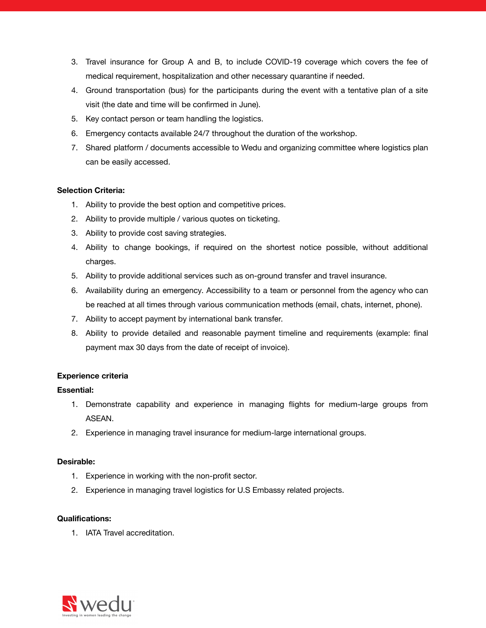- 3. Travel insurance for Group A and B, to include COVID-19 coverage which covers the fee of medical requirement, hospitalization and other necessary quarantine if needed.
- 4. Ground transportation (bus) for the participants during the event with a tentative plan of a site visit (the date and time will be confirmed in June).
- 5. Key contact person or team handling the logistics.
- 6. Emergency contacts available 24/7 throughout the duration of the workshop.
- 7. Shared platform / documents accessible to Wedu and organizing committee where logistics plan can be easily accessed.

#### **Selection Criteria:**

- 1. Ability to provide the best option and competitive prices.
- 2. Ability to provide multiple / various quotes on ticketing.
- 3. Ability to provide cost saving strategies.
- 4. Ability to change bookings, if required on the shortest notice possible, without additional charges.
- 5. Ability to provide additional services such as on-ground transfer and travel insurance.
- 6. Availability during an emergency. Accessibility to a team or personnel from the agency who can be reached at all times through various communication methods (email, chats, internet, phone).
- 7. Ability to accept payment by international bank transfer.
- 8. Ability to provide detailed and reasonable payment timeline and requirements (example: final payment max 30 days from the date of receipt of invoice).

#### **Experience criteria**

#### **Essential:**

- 1. Demonstrate capability and experience in managing flights for medium-large groups from ASEAN.
- 2. Experience in managing travel insurance for medium-large international groups.

#### **Desirable:**

- 1. Experience in working with the non-profit sector.
- 2. Experience in managing travel logistics for U.S Embassy related projects.

#### **Qualifications:**

1. IATA Travel accreditation.

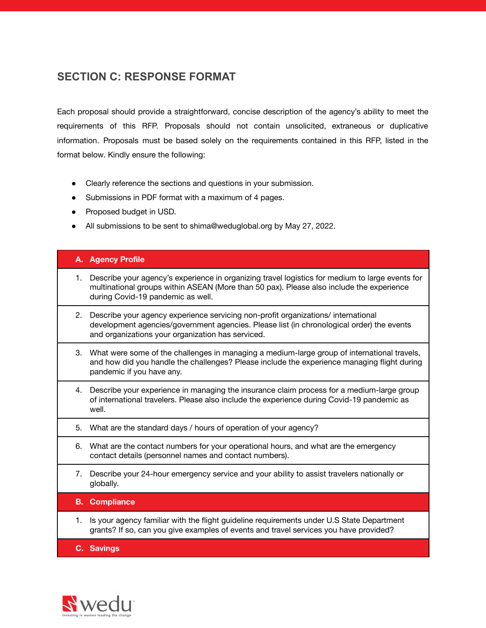## <span id="page-4-0"></span>**SECTION C: RESPONSE FORMAT**

Each proposal should provide a straightforward, concise description of the agency's ability to meet the requirements of this RFP. Proposals should not contain unsolicited, extraneous or duplicative information. Proposals must be based solely on the requirements contained in this RFP, listed in the format below. Kindly ensure the following:

- Clearly reference the sections and questions in your submission.
- Submissions in PDF format with a maximum of 4 pages.
- Proposed budget in USD.
- All submissions to be sent to shima@weduglobal.org by May 27, 2022.

#### **A. Agency Profile**

- 1. Describe your agency's experience in organizing travel logistics for medium to large events for multinational groups within ASEAN (More than 50 pax). Please also include the experience during Covid-19 pandemic as well.
- 2. Describe your agency experience servicing non-profit organizations/ international development agencies/government agencies. Please list (in chronological order) the events and organizations your organization has serviced.
- 3. What were some of the challenges in managing a medium-large group of international travels, and how did you handle the challenges? Please include the experience managing flight during pandemic if you have any.
- 4. Describe your experience in managing the insurance claim process for a medium-large group of international travelers. Please also include the experience during Covid-19 pandemic as well.
- 5. What are the standard days / hours of operation of your agency?
- 6. What are the contact numbers for your operational hours, and what are the emergency contact details (personnel names and contact numbers).
- 7. Describe your 24-hour emergency service and your ability to assist travelers nationally or globally.
- **B. Compliance**
- 1. Is your agency familiar with the flight guideline requirements under U.S State Department grants? If so, can you give examples of events and travel services you have provided?

**C. Savings**